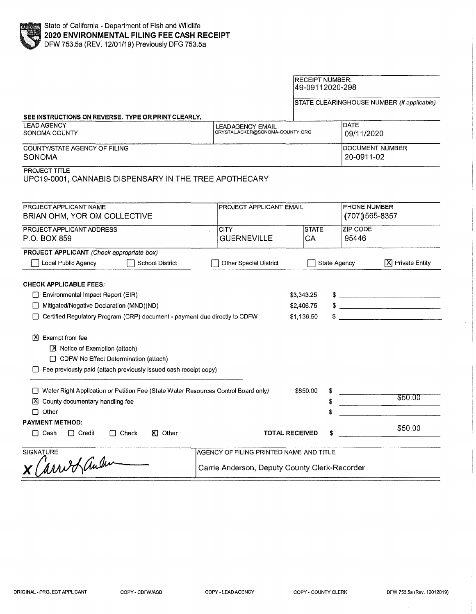## RECEIPT NUMBER: 49-09112020-298

STATE CLEARINGHOUSE NUMBER (If applicable)

| SEE INSTRUCTIONS ON REVERSE. TYPE OR PRINT CLEARLY,                                                                                                                                                                                                                                                                                                                                               |                                                                                          |                                        |                               |                                         |  |
|---------------------------------------------------------------------------------------------------------------------------------------------------------------------------------------------------------------------------------------------------------------------------------------------------------------------------------------------------------------------------------------------------|------------------------------------------------------------------------------------------|----------------------------------------|-------------------------------|-----------------------------------------|--|
| <b>LEAD AGENCY</b><br>SONOMA COUNTY                                                                                                                                                                                                                                                                                                                                                               | LEAD AGENCY EMAIL                                                                        | CRYSTAL.ACKER@SONOMA-COUNTY.ORG        |                               | <b>DATE</b><br>09/11/2020               |  |
| COUNTY/STATE AGENCY OF FILING<br><b>SONOMA</b>                                                                                                                                                                                                                                                                                                                                                    |                                                                                          |                                        | DOCUMENT NUMBER<br>20-0911-02 |                                         |  |
| <b>PROJECT TITLE</b><br>UPC19-0001, CANNABIS DISPENSARY IN THE TREE APOTHECARY                                                                                                                                                                                                                                                                                                                    |                                                                                          |                                        |                               |                                         |  |
| PROJECT APPLICANT NAME<br>PROJECT APPLICANT EMAIL<br>BRIAN OHM, YOR OM COLLECTIVE                                                                                                                                                                                                                                                                                                                 |                                                                                          |                                        |                               | <b>PHONE NUMBER</b><br>$(707)$ 565-8357 |  |
| PROJECT APPLICANT ADDRESS                                                                                                                                                                                                                                                                                                                                                                         | <b>STATE</b><br>CITY.                                                                    |                                        |                               | <b>ZIP CODE</b>                         |  |
| P.O. BOX 859                                                                                                                                                                                                                                                                                                                                                                                      | <b>GUERNEVILLE</b>                                                                       | CA                                     | 95446                         |                                         |  |
| PROJECT APPLICANT (Check appropriate box)                                                                                                                                                                                                                                                                                                                                                         |                                                                                          |                                        |                               |                                         |  |
| Local Public Agency<br>School District                                                                                                                                                                                                                                                                                                                                                            | Other Special District                                                                   | State Agency                           |                               | [X] Private Entity                      |  |
| <b>CHECK APPLICABLE FEES:</b><br>$\Box$ Environmental Impact Report (EIR)<br>Mitigated/Negative Declaration (MND)(ND)<br>$\Box$<br>□ Certified Regulatory Program (CRP) document - payment due directly to CDFW<br><b>区</b> Exempt from fee<br>■ Notice of Exemption (attach)<br>CDFW No Effect Determination (attach)<br>$\Box$ Fee previously paid (attach previously issued cash receipt copy) |                                                                                          | \$3,343.25<br>\$2,406.75<br>\$1,136.50 |                               | $\frac{1}{2}$<br>$\frac{1}{2}$          |  |
| □ Water Right Application or Petition Fee (State Water Resources Control Board only)<br>区 County documentary handling fee<br>$\Box$ Other                                                                                                                                                                                                                                                         |                                                                                          | \$850.00                               | \$                            | \$50.00                                 |  |
| <b>PAYMENT METHOD:</b><br>$\Box$ Cash<br>KI Other<br>$\Box$ Credit<br>$\Box$ Check                                                                                                                                                                                                                                                                                                                |                                                                                          | <b>TOTAL RECEIVED</b>                  |                               | \$50.00                                 |  |
| <b>SIGNATURE</b><br>X Carred auden                                                                                                                                                                                                                                                                                                                                                                | AGENCY OF FILING PRINTED NAME AND TITLE<br>Carrie Anderson, Deputy County Clerk-Recorder |                                        |                               |                                         |  |

 $\bar{\mathcal{A}}$